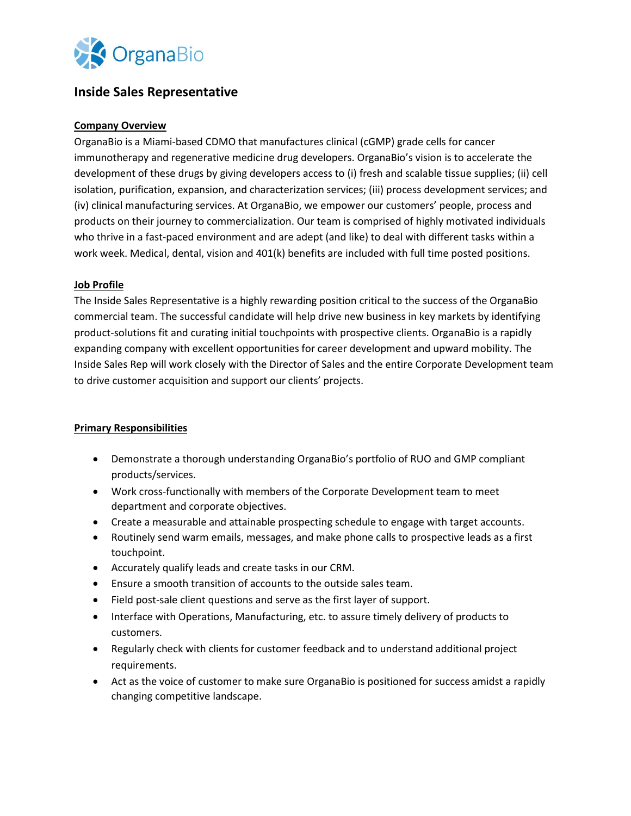

# **Inside Sales Representative**

# **Company Overview**

OrganaBio is a Miami-based CDMO that manufactures clinical (cGMP) grade cells for cancer immunotherapy and regenerative medicine drug developers. OrganaBio's vision is to accelerate the development of these drugs by giving developers access to (i) fresh and scalable tissue supplies; (ii) cell isolation, purification, expansion, and characterization services; (iii) process development services; and (iv) clinical manufacturing services. At OrganaBio, we empower our customers' people, process and products on their journey to commercialization. Our team is comprised of highly motivated individuals who thrive in a fast-paced environment and are adept (and like) to deal with different tasks within a work week. Medical, dental, vision and 401(k) benefits are included with full time posted positions.

## **Job Profile**

The Inside Sales Representative is a highly rewarding position critical to the success of the OrganaBio commercial team. The successful candidate will help drive new business in key markets by identifying product-solutions fit and curating initial touchpoints with prospective clients. OrganaBio is a rapidly expanding company with excellent opportunities for career development and upward mobility. The Inside Sales Rep will work closely with the Director of Sales and the entire Corporate Development team to drive customer acquisition and support our clients' projects.

## **Primary Responsibilities**

- Demonstrate a thorough understanding OrganaBio's portfolio of RUO and GMP compliant products/services.
- Work cross-functionally with members of the Corporate Development team to meet department and corporate objectives.
- Create a measurable and attainable prospecting schedule to engage with target accounts.
- Routinely send warm emails, messages, and make phone calls to prospective leads as a first touchpoint.
- Accurately qualify leads and create tasks in our CRM.
- Ensure a smooth transition of accounts to the outside sales team.
- Field post-sale client questions and serve as the first layer of support.
- Interface with Operations, Manufacturing, etc. to assure timely delivery of products to customers.
- Regularly check with clients for customer feedback and to understand additional project requirements.
- Act as the voice of customer to make sure OrganaBio is positioned for success amidst a rapidly changing competitive landscape.